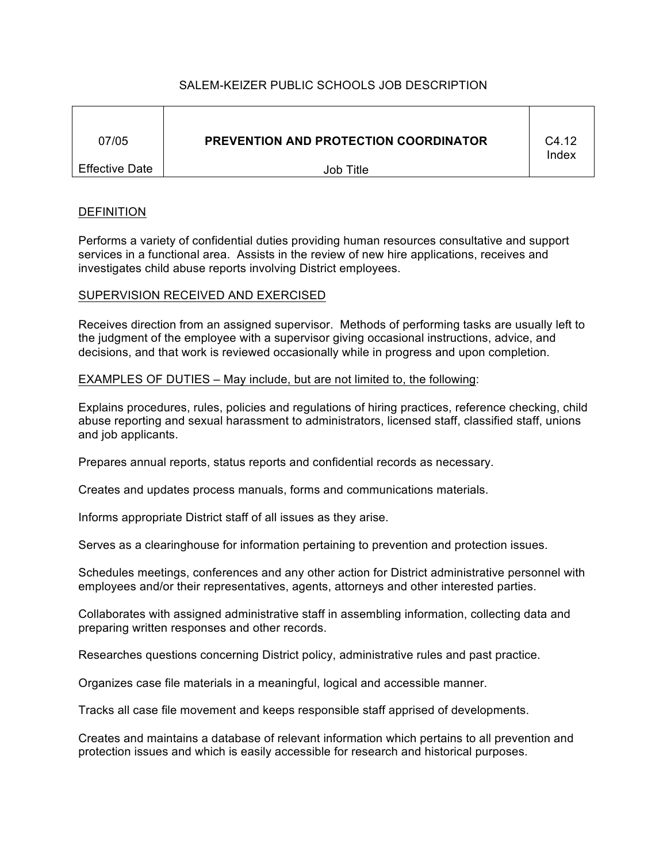# SALEM-KEIZER PUBLIC SCHOOLS JOB DESCRIPTION

| 07/05                 | <b>PREVENTION AND PROTECTION COORDINATOR</b> | C4.12<br>Index |
|-----------------------|----------------------------------------------|----------------|
| <b>Effective Date</b> | Job Title                                    |                |

## **DEFINITION**

Performs a variety of confidential duties providing human resources consultative and support services in a functional area. Assists in the review of new hire applications, receives and investigates child abuse reports involving District employees.

# SUPERVISION RECEIVED AND EXERCISED

Receives direction from an assigned supervisor. Methods of performing tasks are usually left to the judgment of the employee with a supervisor giving occasional instructions, advice, and decisions, and that work is reviewed occasionally while in progress and upon completion.

### EXAMPLES OF DUTIES – May include, but are not limited to, the following:

Explains procedures, rules, policies and regulations of hiring practices, reference checking, child abuse reporting and sexual harassment to administrators, licensed staff, classified staff, unions and job applicants.

Prepares annual reports, status reports and confidential records as necessary.

Creates and updates process manuals, forms and communications materials.

Informs appropriate District staff of all issues as they arise.

Serves as a clearinghouse for information pertaining to prevention and protection issues.

Schedules meetings, conferences and any other action for District administrative personnel with employees and/or their representatives, agents, attorneys and other interested parties.

Collaborates with assigned administrative staff in assembling information, collecting data and preparing written responses and other records.

Researches questions concerning District policy, administrative rules and past practice.

Organizes case file materials in a meaningful, logical and accessible manner.

Tracks all case file movement and keeps responsible staff apprised of developments.

Creates and maintains a database of relevant information which pertains to all prevention and protection issues and which is easily accessible for research and historical purposes.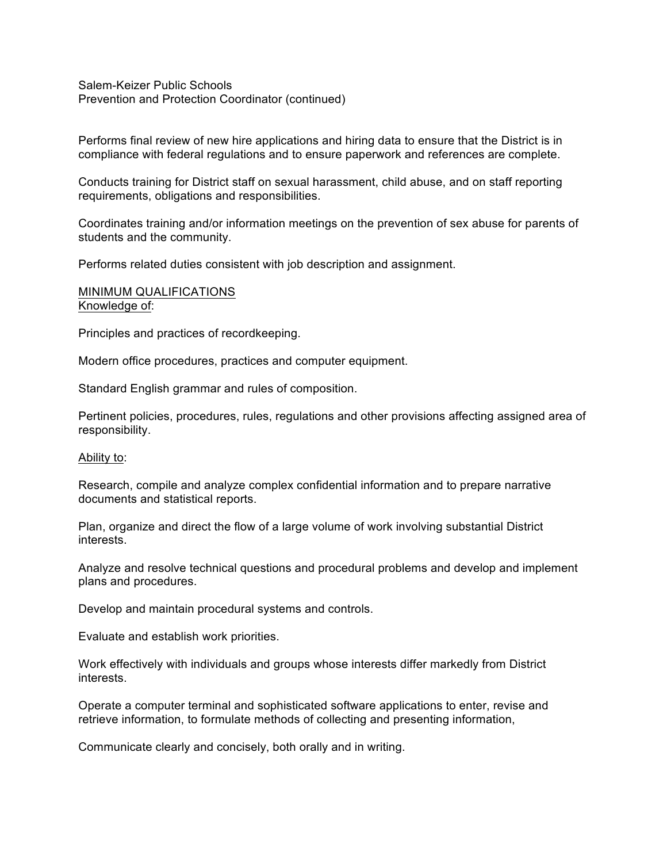Salem-Keizer Public Schools Prevention and Protection Coordinator (continued)

Performs final review of new hire applications and hiring data to ensure that the District is in compliance with federal regulations and to ensure paperwork and references are complete.

Conducts training for District staff on sexual harassment, child abuse, and on staff reporting requirements, obligations and responsibilities.

Coordinates training and/or information meetings on the prevention of sex abuse for parents of students and the community.

Performs related duties consistent with job description and assignment.

### MINIMUM QUALIFICATIONS Knowledge of:

Principles and practices of recordkeeping.

Modern office procedures, practices and computer equipment.

Standard English grammar and rules of composition.

Pertinent policies, procedures, rules, regulations and other provisions affecting assigned area of responsibility.

#### Ability to:

Research, compile and analyze complex confidential information and to prepare narrative documents and statistical reports.

Plan, organize and direct the flow of a large volume of work involving substantial District interests.

Analyze and resolve technical questions and procedural problems and develop and implement plans and procedures.

Develop and maintain procedural systems and controls.

Evaluate and establish work priorities.

Work effectively with individuals and groups whose interests differ markedly from District interests.

Operate a computer terminal and sophisticated software applications to enter, revise and retrieve information, to formulate methods of collecting and presenting information,

Communicate clearly and concisely, both orally and in writing.